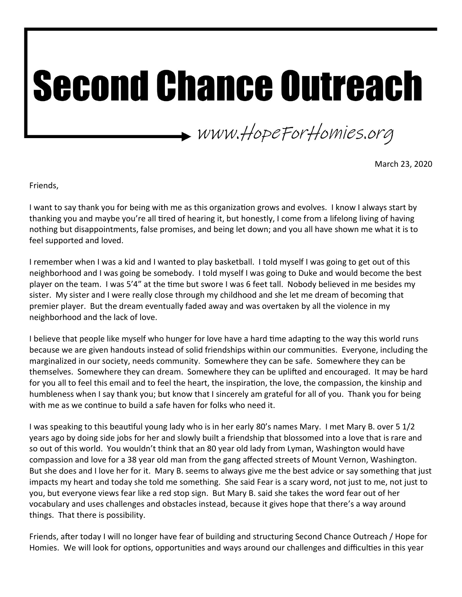## **Second Chance Outreach**

 $\rightarrow$  www.HopeForHomies.org

March 23, 2020

Friends,

I want to say thank you for being with me as this organization grows and evolves. I know I always start by thanking you and maybe you're all tired of hearing it, but honestly, I come from a lifelong living of having nothing but disappointments, false promises, and being let down; and you all have shown me what it is to feel supported and loved.

I remember when I was a kid and I wanted to play basketball. I told myself I was going to get out of this neighborhood and I was going be somebody. I told myself I was going to Duke and would become the best player on the team. I was 5'4" at the time but swore I was 6 feet tall. Nobody believed in me besides my sister. My sister and I were really close through my childhood and she let me dream of becoming that premier player. But the dream eventually faded away and was overtaken by all the violence in my neighborhood and the lack of love.

I believe that people like myself who hunger for love have a hard time adapting to the way this world runs because we are given handouts instead of solid friendships within our communities. Everyone, including the marginalized in our society, needs community. Somewhere they can be safe. Somewhere they can be themselves. Somewhere they can dream. Somewhere they can be uplifted and encouraged. It may be hard for you all to feel this email and to feel the heart, the inspiration, the love, the compassion, the kinship and humbleness when I say thank you; but know that I sincerely am grateful for all of you. Thank you for being with me as we continue to build a safe haven for folks who need it.

I was speaking to this beautiful young lady who is in her early 80's names Mary. I met Mary B. over 5 1/2 years ago by doing side jobs for her and slowly built a friendship that blossomed into a love that is rare and so out of this world. You wouldn't think that an 80 year old lady from Lyman, Washington would have compassion and love for a 38 year old man from the gang affected streets of Mount Vernon, Washington. But she does and I love her for it. Mary B. seems to always give me the best advice or say something that just impacts my heart and today she told me something. She said Fear is a scary word, not just to me, not just to you, but everyone views fear like a red stop sign. But Mary B. said she takes the word fear out of her vocabulary and uses challenges and obstacles instead, because it gives hope that there's a way around things. That there is possibility.

Friends, after today I will no longer have fear of building and structuring Second Chance Outreach / Hope for Homies. We will look for options, opportunities and ways around our challenges and difficulties in this year